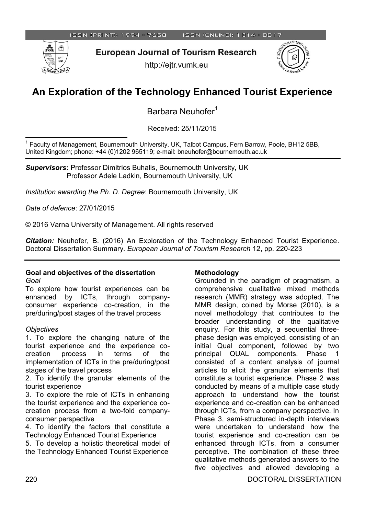

**European Journal of Tourism Research** 

http://ejtr.vumk.eu



# **An Exploration of the Technology Enhanced Tourist Experience**

Barbara Neuhofer<sup>1</sup>

Received: 25/11/2015

 $\overline{a}$ 1 Faculty of Management, Bournemouth University, UK, Talbot Campus, Fern Barrow, Poole, BH12 5BB, United Kingdom; phone: +44 (0)1202 965119; e-mail: bneuhofer@bournemouth.ac.uk

*Supervisors***:** Professor Dimitrios Buhalis, Bournemouth University, UK Professor Adele Ladkin, Bournemouth University, UK

*Institution awarding the Ph. D. Degree*: Bournemouth University, UK

*Date of defence*: 27/01/2015

© 2016 Varna University of Management. All rights reserved

*Citation:* Neuhofer, B. (2016) An Exploration of the Technology Enhanced Tourist Experience. Doctoral Dissertation Summary. *European Journal of Tourism Research* 12, pp. 220-223

#### **Goal and objectives of the dissertation** *Goal*

To explore how tourist experiences can be enhanced by ICTs, through companyconsumer experience co-creation, in the pre/during/post stages of the travel process

#### *Objectives*

1. To explore the changing nature of the tourist experience and the experience cocreation process in terms of the implementation of ICTs in the pre/during/post stages of the travel process

2. To identify the granular elements of the tourist experience

3. To explore the role of ICTs in enhancing the tourist experience and the experience cocreation process from a two-fold companyconsumer perspective

4. To identify the factors that constitute a Technology Enhanced Tourist Experience

5. To develop a holistic theoretical model of the Technology Enhanced Tourist Experience

#### **Methodology**

Grounded in the paradigm of pragmatism, a comprehensive qualitative mixed methods research (MMR) strategy was adopted. The MMR design, coined by Morse (2010), is a novel methodology that contributes to the broader understanding of the qualitative enquiry. For this study, a sequential threephase design was employed, consisting of an initial Qual component, followed by two principal QUAL components. Phase 1 consisted of a content analysis of journal articles to elicit the granular elements that constitute a tourist experience. Phase 2 was conducted by means of a multiple case study approach to understand how the tourist experience and co-creation can be enhanced through ICTs, from a company perspective. In Phase 3, semi-structured in-depth interviews were undertaken to understand how the tourist experience and co-creation can be enhanced through ICTs, from a consumer perceptive. The combination of these three qualitative methods generated answers to the five objectives and allowed developing a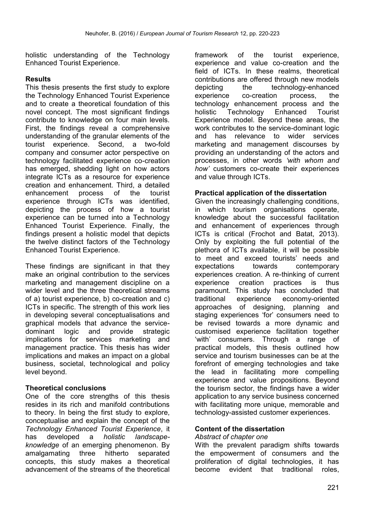holistic understanding of the Technology Enhanced Tourist Experience.

## **Results**

This thesis presents the first study to explore the Technology Enhanced Tourist Experience and to create a theoretical foundation of this novel concept. The most significant findings contribute to knowledge on four main levels. First, the findings reveal a comprehensive understanding of the granular elements of the tourist experience. Second, a two-fold company and consumer actor perspective on technology facilitated experience co-creation has emerged, shedding light on how actors integrate ICTs as a resource for experience creation and enhancement. Third, a detailed enhancement process of the tourist experience through ICTs was identified, depicting the process of how a tourist experience can be turned into a Technology Enhanced Tourist Experience. Finally, the findings present a holistic model that depicts the twelve distinct factors of the Technology Enhanced Tourist Experience.

These findings are significant in that they make an original contribution to the services marketing and management discipline on a wider level and the three theoretical streams of a) tourist experience, b) co-creation and c) ICTs in specific. The strength of this work lies in developing several conceptualisations and graphical models that advance the servicedominant logic and provide strategic implications for services marketing and management practice. This thesis has wider implications and makes an impact on a global business, societal, technological and policy level beyond.

### **Theoretical conclusions**

One of the core strengths of this thesis resides in its rich and manifold contributions to theory. In being the first study to explore, conceptualise and explain the concept of the *Technology Enhanced Tourist Experience*, it has developed a *holistic landscapeknowledge* of an emerging phenomenon. By amalgamating three hitherto separated concepts, this study makes a theoretical advancement of the streams of the theoretical

framework of the tourist experience, experience and value co-creation and the field of ICTs. In these realms, theoretical contributions are offered through new models depicting the technology-enhanced experience co-creation process, the technology enhancement process and the holistic Technology Enhanced Tourist Experience model. Beyond these areas, the work contributes to the service-dominant logic and has relevance to wider services marketing and management discourses by providing an understanding of the actors and processes, in other words *'with whom and how'* customers co-create their experiences and value through ICTs.

### **Practical application of the dissertation**

Given the increasingly challenging conditions, in which tourism organisations operate, knowledge about the successful facilitation and enhancement of experiences through ICTs is critical (Frochot and Batat, 2013). Only by exploiting the full potential of the plethora of ICTs available, it will be possible to meet and exceed tourists' needs and expectations towards contemporary experiences creation. A re-thinking of current experience creation practices is thus paramount. This study has concluded that traditional experience economy-oriented approaches of designing, planning and staging experiences 'for' consumers need to be revised towards a more dynamic and customised experience facilitation together 'with' consumers. Through a range of practical models, this thesis outlined how service and tourism businesses can be at the forefront of emerging technologies and take the lead in facilitating more compelling experience and value propositions. Beyond the tourism sector, the findings have a wider application to any service business concerned with facilitating more unique, memorable and technology-assisted customer experiences.

### **Content of the dissertation**

#### *Abstract of chapter one*

With the prevalent paradigm shifts towards the empowerment of consumers and the proliferation of digital technologies, it has become evident that traditional roles,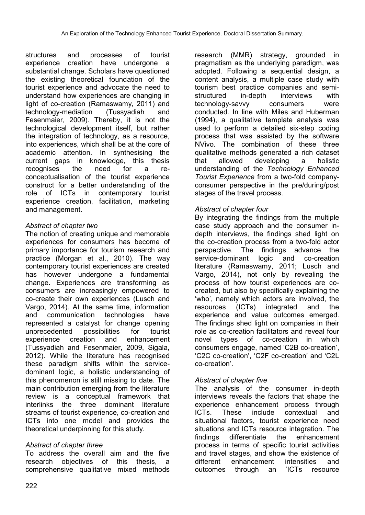structures and processes of tourist experience creation have undergone a substantial change. Scholars have questioned the existing theoretical foundation of the tourist experience and advocate the need to understand how experiences are changing in light of co-creation (Ramaswamy, 2011) and technology-mediation (Tussyadiah and Fesenmaier, 2009). Thereby, it is not the technological development itself, but rather the integration of technology, as a resource, into experiences, which shall be at the core of academic attention. In synthesising the current gaps in knowledge, this thesis recognises the need for a reconceptualisation of the tourist experience construct for a better understanding of the role of ICTs in contemporary tourist experience creation, facilitation, marketing and management.

# *Abstract of chapter two*

The notion of creating unique and memorable experiences for consumers has become of primary importance for tourism research and practice (Morgan et al., 2010). The way contemporary tourist experiences are created has however undergone a fundamental change. Experiences are transforming as consumers are increasingly empowered to co-create their own experiences (Lusch and Vargo, 2014). At the same time, information and communication technologies have represented a catalyst for change opening unprecedented possibilities for tourist experience creation and enhancement (Tussyadiah and Fesenmaier, 2009, Sigala, 2012). While the literature has recognised these paradigm shifts within the servicedominant logic, a holistic understanding of this phenomenon is still missing to date. The main contribution emerging from the literature review is a conceptual framework that interlinks the three dominant literature streams of tourist experience, co-creation and ICTs into one model and provides the theoretical underpinning for this study.

### *Abstract of chapter three*

To address the overall aim and the five research objectives of this thesis, a comprehensive qualitative mixed methods research (MMR) strategy, grounded in pragmatism as the underlying paradigm, was adopted. Following a sequential design, a content analysis, a multiple case study with tourism best practice companies and semistructured in-depth interviews with technology-savvy consumers were conducted. In line with Miles and Huberman (1994), a qualitative template analysis was used to perform a detailed six-step coding process that was assisted by the software NVivo. The combination of these three qualitative methods generated a rich dataset that allowed developing a holistic understanding of the *Technology Enhanced Tourist Experience* from a two-fold companyconsumer perspective in the pre/during/post stages of the travel process.

#### *Abstract of chapter four*

By integrating the findings from the multiple case study approach and the consumer indepth interviews, the findings shed light on the co-creation process from a two-fold actor perspective. The findings advance the service-dominant logic and co-creation literature (Ramaswamy, 2011; Lusch and Vargo, 2014), not only by revealing the process of how tourist experiences are cocreated, but also by specifically explaining the 'who', namely which actors are involved, the resources (ICTs) integrated and the experience and value outcomes emerged. The findings shed light on companies in their role as co-creation facilitators and reveal four novel types of co-creation in which consumers engage, named 'C2B co-creation', 'C2C co-creation', 'C2F co-creation' and 'C2L co-creation'.

### *Abstract of chapter five*

The analysis of the consumer in-depth interviews reveals the factors that shape the experience enhancement process through ICTs. These include contextual and situational factors, tourist experience need situations and ICTs resource integration. The findings differentiate the enhancement process in terms of specific tourist activities and travel stages, and show the existence of different enhancement intensities and outcomes through an 'ICTs resource